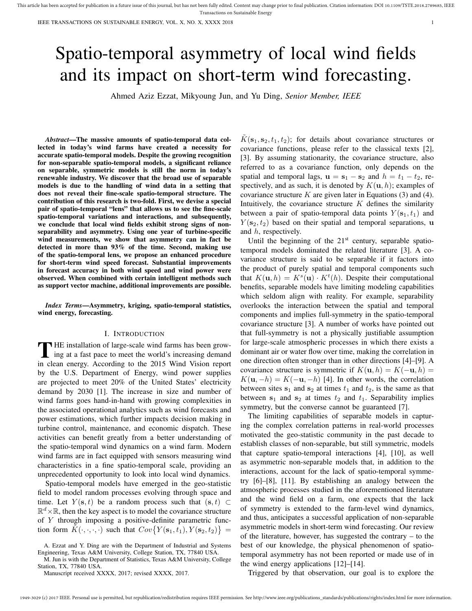# Spatio-temporal asymmetry of local wind fields and its impact on short-term wind forecasting.

Ahmed Aziz Ezzat, Mikyoung Jun, and Yu Ding, *Senior Member, IEEE*

*Abstract*—The massive amounts of spatio-temporal data collected in today's wind farms have created a necessity for accurate spatio-temporal models. Despite the growing recognition for non-separable spatio-temporal models, a significant reliance on separable, symmetric models is still the norm in today's renewable industry. We discover that the broad use of separable models is due to the handling of wind data in a setting that does not reveal their fine-scale spatio-temporal structure. The contribution of this research is two-fold. First, we devise a special pair of spatio-temporal "lens" that allows us to see the fine-scale spatio-temporal variations and interactions, and subsequently, we conclude that local wind fields exhibit strong signs of nonseparability and asymmetry. Using one year of turbine-specific wind measurements, we show that asymmetry can in fact be detected in more than 93% of the time. Second, making use of the spatio-temporal lens, we propose an enhanced procedure for short-term wind speed forecast. Substantial improvements in forecast accuracy in both wind speed and wind power were observed. When combined with certain intelligent methods such as support vector machine, additional improvements are possible.

*Index Terms*—Asymmetry, kriging, spatio-temporal statistics, wind energy, forecasting.

#### I. INTRODUCTION

THE installation of large-scale wind farms has been grow-<br>ing at a fast pace to meet the world's increasing demand ing at a fast pace to meet the world's increasing demand in clean energy. According to the 2015 Wind Vision report by the U.S. Department of Energy, wind power supplies are projected to meet 20% of the United States' electricity demand by 2030 [1]. The increase in size and number of wind farms goes hand-in-hand with growing complexities in the associated operational analytics such as wind forecasts and power estimations, which further impacts decision making in turbine control, maintenance, and economic dispatch. These activities can benefit greatly from a better understanding of the spatio-temporal wind dynamics on a wind farm. Modern wind farms are in fact equipped with sensors measuring wind characteristics in a fine spatio-temporal scale, providing an unprecedented opportunity to look into local wind dynamics.

Spatio-temporal models have emerged in the geo-statistic field to model random processes evolving through space and time. Let  $Y(\mathbf{s}, t)$  be a random process such that  $(\mathbf{s}, t) \subset$  $\mathbb{R}^d \times \mathbb{R}$ , then the key aspect is to model the covariance structure of Y through imposing a positive-definite parametric function form  $\tilde{K}(\cdot,\cdot,\cdot,\cdot)$  such that  $Cov\{Y(\mathbf{s}_1,t_1), Y(\mathbf{s}_2,t_2)\}\ =$ 

M. Jun is with the Department of Statistics, Texas A&M University, College Station, TX, 77840 USA.

Manuscript received XXXX, 2017; revised XXXX, 2017.

 $\tilde{K}(\mathbf{s}_1, \mathbf{s}_2, t_1, t_2)$ ; for details about covariance structures or covariance functions, please refer to the classical texts [2], [3]. By assuming stationarity, the covariance structure, also referred to as a covariance function, only depends on the spatial and temporal lags,  $\mathbf{u} = \mathbf{s}_1 - \mathbf{s}_2$  and  $h = t_1 - t_2$ , respectively, and as such, it is denoted by  $K(\mathbf{u}, h)$ ; examples of covariance structure  $K$  are given later in Equations (3) and (4). Intuitively, the covariance structure  $K$  defines the similarity between a pair of spatio-temporal data points  $Y(\mathbf{s}_1, t_1)$  and  $Y(\mathbf{s}_2, t_2)$  based on their spatial and temporal separations, u and h, respectively.

Until the beginning of the 21<sup>st</sup> century, separable spatiotemporal models dominated the related literature [3]. A covariance structure is said to be separable if it factors into the product of purely spatial and temporal components such that  $K(\mathbf{u}, h) = K^s(\mathbf{u}) \cdot K^t(h)$ . Despite their computational benefits, separable models have limiting modeling capabilities which seldom align with reality. For example, separability overlooks the interaction between the spatial and temporal components and implies full-symmetry in the spatio-temporal covariance structure [3]. A number of works have pointed out that full-symmetry is not a physically justifiable assumption for large-scale atmospheric processes in which there exists a dominant air or water flow over time, making the correlation in one direction often stronger than in other directions [4]–[9]. A covariance structure is symmetric if  $K(\mathbf{u}, h) = K(-\mathbf{u}, h) =$  $K(\mathbf{u}, -h) = K(-\mathbf{u}, -h)$  [4]. In other words, the correlation between sites  $s_1$  and  $s_2$  at times  $t_1$  and  $t_2$ , is the same as that between  $s_1$  and  $s_2$  at times  $t_2$  and  $t_1$ . Separability implies symmetry, but the converse cannot be guaranteed [7].

The limiting capabilities of separable models in capturing the complex correlation patterns in real-world processes motivated the geo-statistic community in the past decade to establish classes of non-separable, but still symmetric, models that capture spatio-temporal interactions [4], [10], as well as asymmetric non-separable models that, in addition to the interactions, account for the lack of spatio-temporal symmetry [6]–[8], [11]. By establishing an analogy between the atmospheric processes studied in the aforementioned literature and the wind field on a farm, one expects that the lack of symmetry is extended to the farm-level wind dynamics, and thus, anticipates a successful application of non-separable asymmetric models in short-term wind forecasting. Our review of the literature, however, has suggested the contrary – to the best of our knowledge, the physical phenomenon of spatiotemporal asymmetry has not been reported or made use of in the wind energy applications [12]–[14].

Triggered by that observation, our goal is to explore the

A. Ezzat and Y. Ding are with the Department of Industrial and Systems Engineering, Texas A&M University, College Station, TX, 77840 USA.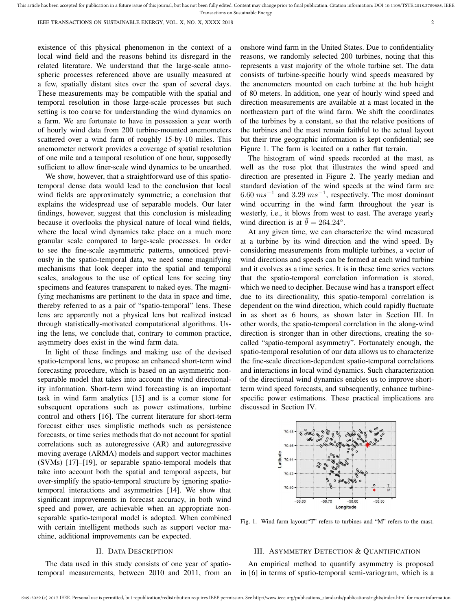This article has been accepted for publication in a future issue of this journal, but has not been fully edited. Content may change prior to final publication. Citation information: DOI 10.1109/TSTE.2018.2789685, IEEE Transactions on Sustainable Energy

existence of this physical phenomenon in the context of a local wind field and the reasons behind its disregard in the related literature. We understand that the large-scale atmospheric processes referenced above are usually measured at a few, spatially distant sites over the span of several days. These measurements may be compatible with the spatial and temporal resolution in those large-scale processes but such setting is too coarse for understanding the wind dynamics on a farm. We are fortunate to have in possession a year worth of hourly wind data from 200 turbine-mounted anemometers scattered over a wind farm of roughly 15-by-10 miles. This anemometer network provides a coverage of spatial resolution of one mile and a temporal resolution of one hour, supposedly sufficient to allow finer-scale wind dynamics to be unearthed.

We show, however, that a straightforward use of this spatiotemporal dense data would lead to the conclusion that local wind fields are approximately symmetric; a conclusion that explains the widespread use of separable models. Our later findings, however, suggest that this conclusion is misleading because it overlooks the physical nature of local wind fields, where the local wind dynamics take place on a much more granular scale compared to large-scale processes. In order to see the fine-scale asymmetric patterns, unnoticed previously in the spatio-temporal data, we need some magnifying mechanisms that look deeper into the spatial and temporal scales, analogous to the use of optical lens for seeing tiny specimens and features transparent to naked eyes. The magnifying mechanisms are pertinent to the data in space and time, thereby referred to as a pair of "spatio-temporal" lens. These lens are apparently not a physical lens but realized instead through statistically-motivated computational algorithms. Using the lens, we conclude that, contrary to common practice, asymmetry does exist in the wind farm data.

In light of these findings and making use of the devised spatio-temporal lens, we propose an enhanced short-term wind forecasting procedure, which is based on an asymmetric nonseparable model that takes into account the wind directionality information. Short-term wind forecasting is an important task in wind farm analytics [15] and is a corner stone for subsequent operations such as power estimations, turbine control and others [16]. The current literature for short-term forecast either uses simplistic methods such as persistence forecasts, or time series methods that do not account for spatial correlations such as autoregressive (AR) and autoregressive moving average (ARMA) models and support vector machines (SVMs) [17]–[19], or separable spatio-temporal models that take into account both the spatial and temporal aspects, but over-simplify the spatio-temporal structure by ignoring spatiotemporal interactions and asymmetries [14]. We show that significant improvements in forecast accuracy, in both wind speed and power, are achievable when an appropriate nonseparable spatio-temporal model is adopted. When combined with certain intelligent methods such as support vector machine, additional improvements can be expected.

# II. DATA DESCRIPTION

The data used in this study consists of one year of spatiotemporal measurements, between 2010 and 2011, from an onshore wind farm in the United States. Due to confidentiality reasons, we randomly selected 200 turbines, noting that this represents a vast majority of the whole turbine set. The data consists of turbine-specific hourly wind speeds measured by the anenometers mounted on each turbine at the hub height of 80 meters. In addition, one year of hourly wind speed and direction measurements are available at a mast located in the northeastern part of the wind farm. We shift the coordinates of the turbines by a constant, so that the relative positions of the turbines and the mast remain faithful to the actual layout but their true geographic information is kept confidential; see Figure 1. The farm is located on a rather flat terrain.

The histogram of wind speeds recorded at the mast, as well as the rose plot that illustrates the wind speed and direction are presented in Figure 2. The yearly median and standard deviation of the wind speeds at the wind farm are 6.60  $ms^{-1}$  and 3.29  $ms^{-1}$ , respectively. The most dominant wind occurring in the wind farm throughout the year is westerly, i.e., it blows from west to east. The average yearly wind direction is at  $\bar{\theta} = 264.24^{\circ}$ .

At any given time, we can characterize the wind measured at a turbine by its wind direction and the wind speed. By considering measurements from multiple turbines, a vector of wind directions and speeds can be formed at each wind turbine and it evolves as a time series. It is in these time series vectors that the spatio-temporal correlation information is stored, which we need to decipher. Because wind has a transport effect due to its directionality, this spatio-temporal correlation is dependent on the wind direction, which could rapidly fluctuate in as short as 6 hours, as shown later in Section III. In other words, the spatio-temporal correlation in the along-wind direction is stronger than in other directions, creating the socalled "spatio-temporal asymmetry". Fortunately enough, the spatio-temporal resolution of our data allows us to characterize the fine-scale direction-dependent spatio-temporal correlations and interactions in local wind dynamics. Such characterization of the directional wind dynamics enables us to improve shortterm wind speed forecasts, and subsequently, enhance turbinespecific power estimations. These practical implications are discussed in Section IV.



Fig. 1. Wind farm layout:"T" refers to turbines and "M" refers to the mast.

## III. ASYMMETRY DETECTION & QUANTIFICATION

An empirical method to quantify asymmetry is proposed in [6] in terms of spatio-temporal semi-variogram, which is a

1949-3029 (c) 2017 IEEE. Personal use is permitted, but republication/redistribution requires IEEE permission. See http://www.ieee.org/publications\_standards/publications/rights/index.html for more information.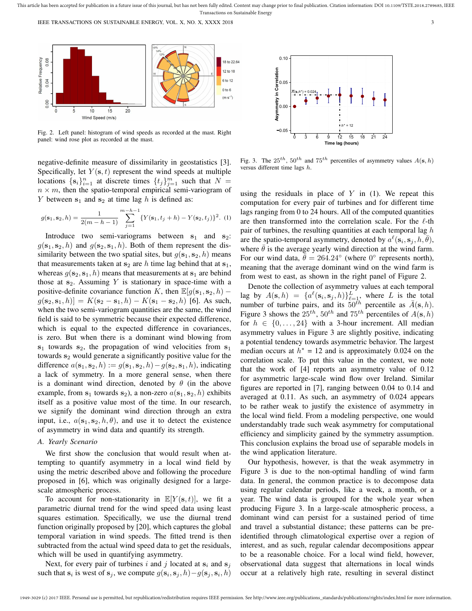

Fig. 2. Left panel: histogram of wind speeds as recorded at the mast. Right panel: wind rose plot as recorded at the mast.

negative-definite measure of dissimilarity in geostatistics [3]. Specifically, let  $Y(\mathbf{s}, t)$  represent the wind speeds at multiple locations  $\{s_i\}_{i=1}^n$  at discrete times  $\{t_j\}_{j=1}^m$  such that  $N =$  $n \times m$ , then the spatio-temporal empirical semi-variogram of Y between  $s_1$  and  $s_2$  at time lag h is defined as:

$$
g(\mathbf{s}_1, \mathbf{s}_2, h) = \frac{1}{2(m - h - 1)} \sum_{j=1}^{m - h - 1} \{ Y(\mathbf{s}_1, t_j + h) - Y(\mathbf{s}_2, t_j) \}^2.
$$
 (1)

Introduce two semi-variograms between  $s_1$  and  $s_2$ :  $g(\mathbf{s}_1, \mathbf{s}_2, h)$  and  $g(\mathbf{s}_2, \mathbf{s}_1, h)$ . Both of them represent the dissimilarity between the two spatial sites, but  $g(s_1, s_2, h)$  means that measurements taken at  $s_2$  are h time lag behind that at  $s_1$ , whereas  $g(\mathbf{s}_2, \mathbf{s}_1, h)$  means that measurements at  $\mathbf{s}_1$  are behind those at  $s_2$ . Assuming Y is stationary in space-time with a positive-definite covariance function K, then  $\mathbb{E}[g(\mathbf{s}_1, \mathbf{s}_2, h)]$  $g(s_2, s_1, h) = K(s_2 - s_1, h) - K(s_1 - s_2, h)$  [6]. As such, when the two semi-variogram quantities are the same, the wind field is said to be symmetric because their expected difference, which is equal to the expected difference in covariances, is zero. But when there is a dominant wind blowing from  $s_1$  towards  $s_2$ , the propagation of wind velocities from  $s_1$ towards  $s_2$  would generate a significantly positive value for the difference  $a(\mathbf{s}_1, \mathbf{s}_2, h) := g(\mathbf{s}_1, \mathbf{s}_2, h) - g(\mathbf{s}_2, \mathbf{s}_1, h)$ , indicating a lack of symmetry. In a more general sense, when there is a dominant wind direction, denoted by  $\theta$  (in the above example, from  $s_1$  towards  $s_2$ ), a non-zero  $a(s_1, s_2, h)$  exhibits itself as a positive value most of the time. In our research, we signify the dominant wind direction through an extra input, i.e.,  $a(\mathbf{s}_1, \mathbf{s}_2, h, \theta)$ , and use it to detect the existence of asymmetry in wind data and quantify its strength.

# *A. Yearly Scenario*

We first show the conclusion that would result when attempting to quantify asymmetry in a local wind field by using the metric described above and following the procedure proposed in [6], which was originally designed for a largescale atmospheric process.

To account for non-stationarity in  $\mathbb{E}[Y(\mathbf{s}, t)]$ , we fit a parametric diurnal trend for the wind speed data using least squares estimation. Specifically, we use the diurnal trend function originally proposed by [20], which captures the global temporal variation in wind speeds. The fitted trend is then subtracted from the actual wind speed data to get the residuals, which will be used in quantifying asymmetry.

Next, for every pair of turbines i and j located at  $s_i$  and  $s_j$ such that  $s_i$  is west of  $s_j$ , we compute  $g(s_i, s_j, h) - g(s_j, s_i, h)$ 



Fig. 3. The  $25^{th}$ ,  $50^{th}$  and  $75^{th}$  percentiles of asymmetry values  $A(\mathbf{s}, h)$ versus different time lags h.

using the residuals in place of  $Y$  in (1). We repeat this computation for every pair of turbines and for different time lags ranging from 0 to 24 hours. All of the computed quantities are then transformed into the correlation scale. For the  $\ell$ -th pair of turbines, the resulting quantities at each temporal lag  $h$ are the spatio-temporal asymmetry, denoted by  $a^{\ell}(\mathbf{s}_i, \mathbf{s}_j, h, \overline{\theta})$ , where  $\theta$  is the average yearly wind direction at the wind farm. For our wind data,  $\bar{\bar{\theta}} = 264.24^{\circ}$  (where 0° represents north), meaning that the average dominant wind on the wind farm is from west to east, as shown in the right panel of Figure 2.

Denote the collection of asymmetry values at each temporal lag by  $A(\mathbf{s}, h) = \{a^{\ell}(\mathbf{s}_i, \mathbf{s}_j, h)\}_{\ell=1}^L$ , where L is the total number of turbine pairs, and its  $50^{th}$  percentile as  $\bar{A}(s, h)$ . Figure 3 shows the  $25^{th}$ ,  $50^{th}$  and  $75^{th}$  percentiles of  $A(\mathbf{s}, h)$ for  $h \in \{0, \ldots, 24\}$  with a 3-hour increment. All median asymmetry values in Figure 3 are slightly positive, indicating a potential tendency towards asymmetric behavior. The largest median occurs at  $h^* = 12$  and is approximately 0.024 on the correlation scale. To put this value in the context, we note that the work of [4] reports an asymmetry value of 0.12 for asymmetric large-scale wind flow over Ireland. Similar figures are reported in [7], ranging between 0.04 to 0.14 and averaged at 0.11. As such, an asymmetry of 0.024 appears to be rather weak to justify the existence of asymmetry in the local wind field. From a modeling perspective, one would understandably trade such weak asymmetry for computational efficiency and simplicity gained by the symmetry assumption. This conclusion explains the broad use of separable models in the wind application literature.

Our hypothesis, however, is that the weak asymmetry in Figure 3 is due to the non-optimal handling of wind farm data. In general, the common practice is to decompose data using regular calendar periods, like a week, a month, or a year. The wind data is grouped for the whole year when producing Figure 3. In a large-scale atmospheric process, a dominant wind can persist for a sustained period of time and travel a substantial distance; these patterns can be preidentified through climatological expertise over a region of interest, and as such, regular calendar decompositions appear to be a reasonable choice. For a local wind field, however, observational data suggest that alternations in local winds occur at a relatively high rate, resulting in several distinct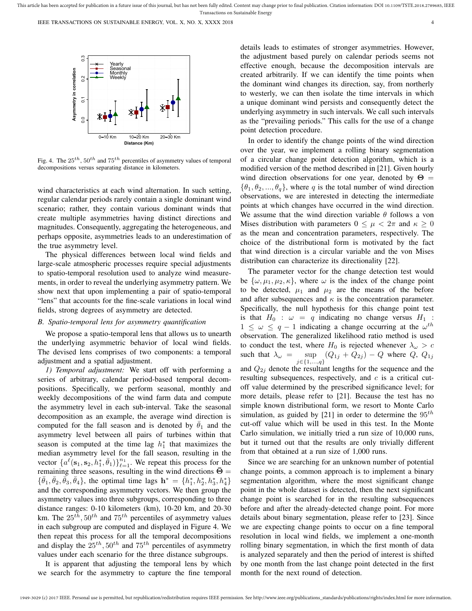

Fig. 4. The  $25^{th}$ ,  $50^{th}$  and  $75^{th}$  percentiles of asymmetry values of temporal decompositions versus separating distance in kilometers.

wind characteristics at each wind alternation. In such setting, regular calendar periods rarely contain a single dominant wind scenario; rather, they contain various dominant winds that create multiple asymmetries having distinct directions and magnitudes. Consequently, aggregating the heterogeneous, and perhaps opposite, asymmetries leads to an underestimation of the true asymmetry level.

The physical differences between local wind fields and large-scale atmospheric processes require special adjustments to spatio-temporal resolution used to analyze wind measurements, in order to reveal the underlying asymmetry pattern. We show next that upon implementing a pair of spatio-temporal "lens" that accounts for the fine-scale variations in local wind fields, strong degrees of asymmetry are detected.

## *B. Spatio-temporal lens for asymmetry quantification*

We propose a spatio-temporal lens that allows us to unearth the underlying asymmetric behavior of local wind fields. The devised lens comprises of two components: a temporal adjustment and a spatial adjustment.

*1) Temporal adjustment:* We start off with performing a series of arbitrary, calendar period-based temporal decompositions. Specifically, we perform seasonal, monthly and weekly decompositions of the wind farm data and compute the asymmetry level in each sub-interval. Take the seasonal decomposition as an example, the average wind direction is computed for the fall season and is denoted by  $\theta_1$  and the asymmetry level between all pairs of turbines within that season is computed at the time lag  $h_1^*$  that maximizes the median asymmetry level for the fall season, resulting in the vector  $\{a^{\ell}(s_1, s_2, h_1^*, \bar{\theta}_1)\}_{\ell=1}^{n_1}$ . We repeat this process for the remaining three seasons, resulting in the wind directions  $\bar{\Theta} =$  $\{\bar{\theta}_1, \bar{\theta}_2, \bar{\theta}_3, \bar{\theta}_4\}$ , the optimal time lags  $\mathbf{h}^* = \{h_1^*, h_2^*, h_3^*, h_4^*\}$ and the corresponding asymmetry vectors. We then group the asymmetry values into three subgroups, corresponding to three distance ranges: 0-10 kilometers (km), 10-20 km, and 20-30 km. The  $25^{th}$ ,  $50^{th}$  and  $75^{th}$  percentiles of asymmetry values in each subgroup are computed and displayed in Figure 4. We then repeat this process for all the temporal decompositions and display the  $25^{th}$ ,  $50^{th}$  and  $75^{th}$  percentiles of asymmetry values under each scenario for the three distance subgroups.

It is apparent that adjusting the temporal lens by which we search for the asymmetry to capture the fine temporal details leads to estimates of stronger asymmetries. However, the adjustment based purely on calendar periods seems not effective enough, because the decomposition intervals are created arbitrarily. If we can identify the time points when the dominant wind changes its direction, say, from northerly to westerly, we can then isolate the time intervals in which a unique dominant wind persists and consequently detect the underlying asymmetry in such intervals. We call such intervals as the "prevailing periods." This calls for the use of a change point detection procedure.

In order to identify the change points of the wind direction over the year, we implement a rolling binary segmentation of a circular change point detection algorithm, which is a modified version of the method described in [21]. Given hourly wind direction observations for one year, denoted by  $\Theta =$  $\{\theta_1, \theta_2, ..., \theta_q\}$ , where q is the total number of wind direction observations, we are interested in detecting the intermediate points at which changes have occurred in the wind direction. We assume that the wind direction variable  $\theta$  follows a von Mises distribution with parameters  $0 \leq \mu < 2\pi$  and  $\kappa \geq 0$ as the mean and concentration parameters, respectively. The choice of the distributional form is motivated by the fact that wind direction is a circular variable and the von Mises distribution can characterize its directionality [22].

The parameter vector for the change detection test would be  $\{\omega, \mu_1, \mu_2, \kappa\}$ , where  $\omega$  is the index of the change point to be detected,  $\mu_1$  and  $\mu_2$  are the means of the before and after subsequences and  $\kappa$  is the concentration parameter. Specifically, the null hypothesis for this change point test is that  $H_0$  :  $\omega = q$  indicating no change versus  $H_1$  :  $1 \leq \omega \leq q-1$  indicating a change occurring at the  $\omega^{th}$ observation. The generalized likelihood ratio method is used to conduct the test, where  $H_0$  is rejected whenever  $\lambda_\omega > c$ such that  $\lambda_{\omega} =$ j∈{1,...,q}  $\sup$   $(Q_{1j} + Q_{2j}) - Q$  where  $Q$ ,  $Q_{1j}$ 

and  $Q_{2i}$  denote the resultant lengths for the sequence and the resulting subsequences, respectively, and  $c$  is a critical cutoff value determined by the prescribed significance level; for more details, please refer to [21]. Because the test has no simple known distributional form, we resort to Monte Carlo simulation, as guided by [21] in order to determine the  $95<sup>th</sup>$ cut-off value which will be used in this test. In the Monte Carlo simulation, we initially tried a run size of 10,000 runs, but it turned out that the results are only trivially different from that obtained at a run size of 1,000 runs.

Since we are searching for an unknown number of potential change points, a common approach is to implement a binary segmentation algorithm, where the most significant change point in the whole dataset is detected, then the next significant change point is searched for in the resulting subsequences before and after the already-detected change point. For more details about binary segmentation, please refer to [23]. Since we are expecting change points to occur on a fine temporal resolution in local wind fields, we implement a one-month rolling binary segmentation, in which the first month of data is analyzed separately and then the period of interest is shifted by one month from the last change point detected in the first month for the next round of detection.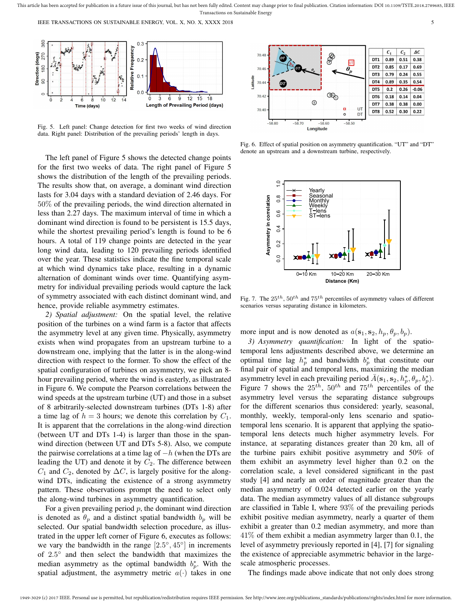

Fig. 5. Left panel: Change detection for first two weeks of wind direction data. Right panel: Distribution of the prevailing periods' length in days.

The left panel of Figure 5 shows the detected change points for the first two weeks of data. The right panel of Figure 5 shows the distribution of the length of the prevailing periods. The results show that, on average, a dominant wind direction lasts for 3.04 days with a standard deviation of 2.46 days. For 50% of the prevailing periods, the wind direction alternated in less than 2.27 days. The maximum interval of time in which a dominant wind direction is found to be persistent is 15.5 days, while the shortest prevailing period's length is found to be 6 hours. A total of 119 change points are detected in the year long wind data, leading to 120 prevailing periods identified over the year. These statistics indicate the fine temporal scale at which wind dynamics take place, resulting in a dynamic alternation of dominant winds over time. Quantifying asymmetry for individual prevailing periods would capture the lack of symmetry associated with each distinct dominant wind, and hence, provide reliable asymmetry estimates.

*2) Spatial adjustment:* On the spatial level, the relative position of the turbines on a wind farm is a factor that affects the asymmetry level at any given time. Physically, asymmetry exists when wind propagates from an upstream turbine to a downstream one, implying that the latter is in the along-wind direction with respect to the former. To show the effect of the spatial configuration of turbines on asymmetry, we pick an 8 hour prevailing period, where the wind is easterly, as illustrated in Figure 6. We compute the Pearson correlations between the wind speeds at the upstream turbine (UT) and those in a subset of 8 arbitrarily-selected downstream turbines (DTs 1-8) after a time lag of  $h = 3$  hours; we denote this correlation by  $C_1$ . It is apparent that the correlations in the along-wind direction (between UT and DTs 1-4) is larger than those in the spanwind direction (between UT and DTs 5-8). Also, we compute the pairwise correlations at a time lag of  $-h$  (when the DTs are leading the UT) and denote it by  $C_2$ . The difference between  $C_1$  and  $C_2$ , denoted by  $\Delta C$ , is largely positive for the alongwind DTs, indicating the existence of a strong asymmetry pattern. These observations prompt the need to select only the along-wind turbines in asymmetry quantification.

For a given prevailing period  $p$ , the dominant wind direction is denoted as  $\theta_p$  and a distinct spatial bandwidth  $b_p$  will be selected. Our spatial bandwidth selection procedure, as illustrated in the upper left corner of Figure 6, executes as follows: we vary the bandwidth in the range  $[2.5^{\circ}, 45^{\circ}]$  in increments of 2.5 ◦ and then select the bandwidth that maximizes the median asymmetry as the optimal bandwidth  $b_p^*$ . With the spatial adjustment, the asymmetry metric  $a(\cdot)$  takes in one



Fig. 6. Effect of spatial position on asymmetry quantification. "UT" and "DT" denote an upstream and a downstream turbine, respectively.



Fig. 7. The  $25^{th}$ ,  $50^{th}$  and  $75^{th}$  percentiles of asymmetry values of different scenarios versus separating distance in kilometers.

more input and is now denoted as  $a(\mathbf{s}_1, \mathbf{s}_2, h_p, \theta_p, b_p)$ .

*3) Asymmetry quantification:* In light of the spatiotemporal lens adjustments described above, we determine an optimal time lag  $h_p^*$  and bandwidth  $b_p^*$  that constitute our final pair of spatial and temporal lens, maximizing the median asymmetry level in each prevailing period  $\bar{A}(\mathbf{s}_1, \mathbf{s}_2, h_p^*, \theta_p, b_p^*)$ . Figure 7 shows the  $25^{th}$ ,  $50^{th}$  and  $75^{th}$  percentiles of the asymmetry level versus the separating distance subgroups for the different scenarios thus considered: yearly, seasonal, monthly, weekly, temporal-only lens scenario and spatiotemporal lens scenario. It is apparent that applying the spatiotemporal lens detects much higher asymmetry levels. For instance, at separating distances greater than 20 km, all of the turbine pairs exhibit positive asymmetry and 50% of them exhibit an asymmetry level higher than 0.2 on the correlation scale, a level considered significant in the past study [4] and nearly an order of magnitude greater than the median asymmetry of 0.024 detected earlier on the yearly data. The median asymmetry values of all distance subgroups are classified in Table I, where 93% of the prevailing periods exhibit positive median asymmetry, nearly a quarter of them exhibit a greater than 0.2 median asymmetry, and more than 41% of them exhibit a median asymmetry larger than 0.1, the level of asymmetry previously reported in [4], [7] for signaling the existence of appreciable asymmetric behavior in the largescale atmospheric processes.

The findings made above indicate that not only does strong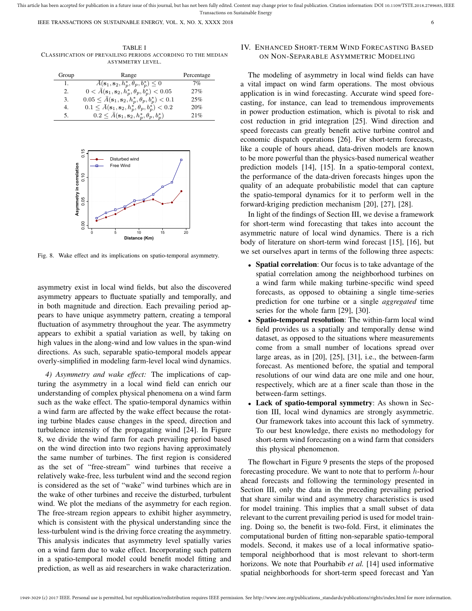TABLE I CLASSIFICATION OF PREVAILING PERIODS ACCORDING TO THE MEDIAN ASYMMETRY LEVEL.

| Group | Range                                                                     | Percentage |
|-------|---------------------------------------------------------------------------|------------|
| 1.    | $\overline{A}(\mathbf{s}_1, \mathbf{s}_2, h_p^*, \theta_p, b_p^*) \leq 0$ | 7%         |
| 2.    | $0 < \bar{A}(s_1, s_2, h_p^*, \theta_p, b_p^*) < 0.05$                    | 27%        |
| 3.    | $0.05 \leq \bar{A}(s_1, s_2, h_p^*, \theta_p, b_p^*) < 0.1$               | 25%        |
| 4.    | $0.1 \leq \bar{A}(s_1, s_2, h_p^*, \theta_p, b_p^*) < 0.2$                | 20%        |
| 5.    | $0.2 \leq \bar{A}(s_1, s_2, h_p^*, \theta_p, b_p^*)$                      | 21%        |



Fig. 8. Wake effect and its implications on spatio-temporal asymmetry.

asymmetry exist in local wind fields, but also the discovered asymmetry appears to fluctuate spatially and temporally, and in both magnitude and direction. Each prevailing period appears to have unique asymmetry pattern, creating a temporal fluctuation of asymmetry throughout the year. The asymmetry appears to exhibit a spatial variation as well, by taking on high values in the along-wind and low values in the span-wind directions. As such, separable spatio-temporal models appear overly-simplified in modeling farm-level local wind dynamics.

*4) Asymmetry and wake effect:* The implications of capturing the asymmetry in a local wind field can enrich our understanding of complex physical phenomena on a wind farm such as the wake effect. The spatio-temporal dynamics within a wind farm are affected by the wake effect because the rotating turbine blades cause changes in the speed, direction and turbulence intensity of the propagating wind [24]. In Figure 8, we divide the wind farm for each prevailing period based on the wind direction into two regions having approximately the same number of turbines. The first region is considered as the set of "free-stream" wind turbines that receive a relatively wake-free, less turbulent wind and the second region is considered as the set of "wake" wind turbines which are in the wake of other turbines and receive the disturbed, turbulent wind. We plot the medians of the asymmetry for each region. The free-stream region appears to exhibit higher asymmetry, which is consistent with the physical understanding since the less-turbulent wind is the driving force creating the asymmetry. This analysis indicates that asymmetry level spatially varies on a wind farm due to wake effect. Incorporating such pattern in a spatio-temporal model could benefit model fitting and prediction, as well as aid researchers in wake characterization.

# IV. ENHANCED SHORT-TERM WIND FORECASTING BASED ON NON-SEPARABLE ASYMMETRIC MODELING

The modeling of asymmetry in local wind fields can have a vital impact on wind farm operations. The most obvious application is in wind forecasting. Accurate wind speed forecasting, for instance, can lead to tremendous improvements in power production estimation, which is pivotal to risk and cost reduction in grid integration [25]. Wind direction and speed forecasts can greatly benefit active turbine control and economic dispatch operations [26]. For short-term forecasts, like a couple of hours ahead, data-driven models are known to be more powerful than the physics-based numerical weather prediction models [14], [15]. In a spatio-temporal context, the performance of the data-driven forecasts hinges upon the quality of an adequate probabilistic model that can capture the spatio-temporal dynamics for it to perform well in the forward-kriging prediction mechanism [20], [27], [28].

In light of the findings of Section III, we devise a framework for short-term wind forecasting that takes into account the asymmetric nature of local wind dynamics. There is a rich body of literature on short-term wind forecast [15], [16], but we set ourselves apart in terms of the following three aspects:

- Spatial correlation: Our focus is to take advantage of the spatial correlation among the neighborhood turbines on a wind farm while making turbine-specific wind speed forecasts, as opposed to obtaining a single time-series prediction for one turbine or a single *aggregated* time series for the whole farm [29], [30].
- **Spatio-temporal resolution**: The within-farm local wind field provides us a spatially and temporally dense wind dataset, as opposed to the situations where measurements come from a small number of locations spread over large areas, as in [20], [25], [31], i.e., the between-farm forecast. As mentioned before, the spatial and temporal resolutions of our wind data are one mile and one hour, respectively, which are at a finer scale than those in the between-farm settings.
- Lack of spatio-temporal symmetry: As shown in Section III, local wind dynamics are strongly asymmetric. Our framework takes into account this lack of symmetry. To our best knowledge, there exists no methodology for short-term wind forecasting on a wind farm that considers this physical phenomenon.

The flowchart in Figure 9 presents the steps of the proposed forecasting procedure. We want to note that to perform  $h$ -hour ahead forecasts and following the terminology presented in Section III, only the data in the preceding prevailing period that share similar wind and asymmetry characteristics is used for model training. This implies that a small subset of data relevant to the current prevailing period is used for model training. Doing so, the benefit is two-fold. First, it eliminates the computational burden of fitting non-separable spatio-temporal models. Second, it makes use of a local informative spatiotemporal neighborhood that is most relevant to short-term horizons. We note that Pourhabib *et al.* [14] used informative spatial neighborhoods for short-term speed forecast and Yan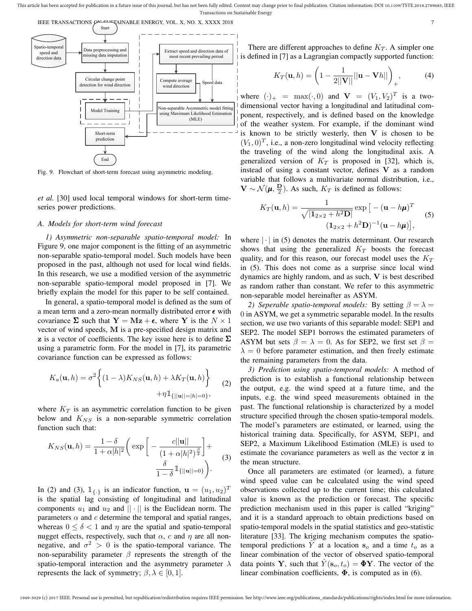This article has been accepted for publication in a future issue of this journal, but has not been fully edited. Content may change prior to final publication. Citation information: DOI 10.1109/TSTE.2018.2789685, IEEE Transactions on Sustainable Energy





Fig. 9. Flowchart of short-term forecast using asymmetric modeling.

*et al.* [30] used local temporal windows for short-term timeseries power predictions.

# *A. Models for short-term wind forecast*

prediction

End

*1) Asymmetric non-separable spatio-temporal model:* In Figure 9, one major component is the fitting of an asymmetric non-separable spatio-temporal model. Such models have been proposed in the past, although not used for local wind fields. In this research, we use a modified version of the asymmetric non-separable spatio-temporal model proposed in [7]. We briefly explain the model for this paper to be self contained.

In general, a spatio-temporal model is defined as the sum of a mean term and a zero-mean normally distributed error  $\epsilon$  with covariance  $\Sigma$  such that  $Y = Mz + \epsilon$ , where Y is the  $N \times 1$ vector of wind speeds, M is a pre-specified design matrix and z is a vector of coefficients. The key issue here is to define  $\Sigma$ using a parametric form. For the model in [7], its parametric covariance function can be expressed as follows:

$$
K_a(\mathbf{u}, h) = \sigma^2 \left\{ (1 - \lambda) K_{NS}(\mathbf{u}, h) + \lambda K_T(\mathbf{u}, h) \right\}
$$
  
 
$$
+ \eta \mathbb{1}_{\{||\mathbf{u}|| = |h| = 0\}}, \tag{2}
$$

where  $K_T$  is an asymmetric correlation function to be given below and  $K_{NS}$  is a non-separable symmetric correlation function such that:

$$
K_{NS}(\mathbf{u},h) = \frac{1-\delta}{1+\alpha|h|^2} \left( \exp\left[ -\frac{c||\mathbf{u}||}{(1+\alpha|h|^2)^{\frac{\beta}{2}}} \right] + \frac{\delta}{1-\delta} \mathbb{1}_{\{||\mathbf{u}||=0\}} \right).
$$
 (3)

In (2) and (3),  $\mathbb{1}_{\{\cdot\}}$  is an indicator function,  $\mathbf{u} = (u_1, u_2)^T$ is the spatial lag consisting of longitudinal and latitudinal components  $u_1$  and  $u_2$  and  $|| \cdot ||$  is the Euclidean norm. The parameters  $\alpha$  and  $c$  determine the temporal and spatial ranges, whereas  $0 \le \delta \le 1$  and  $\eta$  are the spatial and spatio-temporal nugget effects, respectively, such that  $\alpha$ , c and  $\eta$  are all nonnegative, and  $\sigma^2 > 0$  is the spatio-temporal variance. The non-separability parameter  $\beta$  represents the strength of the spatio-temporal interaction and the asymmetry parameter  $\lambda$ represents the lack of symmetry;  $\beta, \lambda \in [0, 1]$ .

There are different approaches to define  $K_T$ . A simpler one is defined in [7] as a Lagrangian compactly supported function:

$$
K_T(\mathbf{u},h) = \left(1 - \frac{1}{2||\mathbf{V}||}||\mathbf{u} - \mathbf{V}h||\right)_+, \tag{4}
$$

where  $(\cdot)_+$  = max $(\cdot, 0)$  and  $\mathbf{V} = (V_1, V_2)^T$  is a twodimensional vector having a longitudinal and latitudinal component, respectively, and is defined based on the knowledge of the weather system. For example, if the dominant wind is known to be strictly westerly, then  $V$  is chosen to be  $(V_1, 0)^T$ , i.e., a non-zero longitudinal wind velocity reflecting the traveling of the wind along the longitudinal axis. A generalized version of  $K_T$  is proposed in [32], which is, instead of using a constant vector, defines V as a random variable that follows a multivariate normal distribution, i.e.,  $\mathbf{V} \sim \mathcal{N}(\boldsymbol{\mu}, \frac{\mathbf{D}}{2})$ . As such,  $K_T$  is defined as follows:

$$
K_T(\mathbf{u}, h) = \frac{1}{\sqrt{|\mathbf{1}_{2 \times 2} + h^2 \mathbf{D}|}} \exp\left[-(\mathbf{u} - h\mathbf{\mu})^T\right] \tag{5}
$$

$$
(\mathbf{1}_{2 \times 2} + h^2 \mathbf{D})^{-1}(\mathbf{u} - h\mathbf{\mu})\right],
$$

where  $|\cdot|$  in (5) denotes the matrix determinant. Our research shows that using the generalized  $K_T$  boosts the forecast quality, and for this reason, our forecast model uses the  $K_T$ in (5). This does not come as a surprise since local wind dynamics are highly random, and as such, V is best described as random rather than constant. We refer to this asymmetric non-separable model hereinafter as ASYM.

*2) Seperable spatio-temporal models:* By setting  $\beta = \lambda =$ 0 in ASYM, we get a symmetric separable model. In the results section, we use two variants of this separable model: SEP1 and SEP2. The model SEP1 borrows the estimated parameters of ASYM but sets  $\beta = \lambda = 0$ . As for SEP2, we first set  $\beta =$  $\lambda = 0$  before parameter estimation, and then freely estimate the remaining parameters from the data.

*3) Prediction using spatio-temporal models:* A method of prediction is to establish a functional relationship between the output, e.g. the wind speed at a future time, and the inputs, e.g. the wind speed measurements obtained in the past. The functional relationship is characterized by a model structure specified through the chosen spatio-temporal models. The model's parameters are estimated, or learned, using the historical training data. Specifically, for ASYM, SEP1, and SEP2, a Maximum Likelihood Estimation (MLE) is used to estimate the covariance parameters as well as the vector z in the mean structure.

Once all parameters are estimated (or learned), a future wind speed value can be calculated using the wind speed observations collected up to the current time; this calculated value is known as the prediction or forecast. The specific prediction mechanism used in this paper is called "kriging" and it is a standard approach to obtain predictions based on spatio-temporal models in the spatial statistics and geo-statistic literature [33]. The kriging mechanism computes the spatiotemporal predictions Y at a location  $s_o$  and a time  $t_o$  as a linear combination of the vector of observed spatio-temporal data points Y, such that  $Y(\mathbf{s}_o, t_o) = \mathbf{\Phi} Y$ . The vector of the linear combination coefficients,  $\Phi$ , is computed as in (6).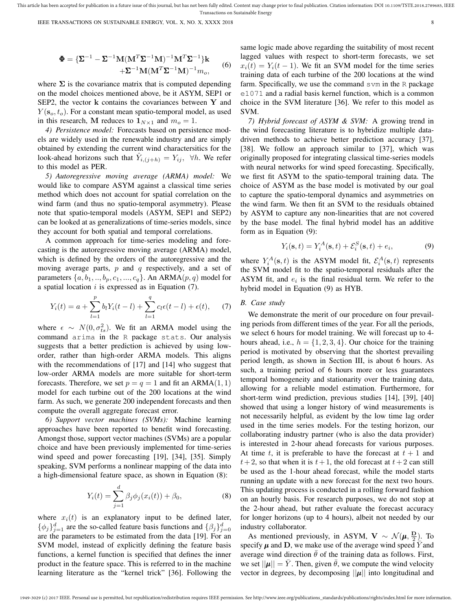This article has been accepted for publication in a future issue of this journal, but has not been fully edited. Content may change prior to final publication. Citation information: DOI 10.1109/TSTE.2018.2789685, IEEE Transactions on Sustainable Energy

IEEE TRANSACTIONS ON SUSTAINABLE ENERGY, VOL. X, NO. X, XXXX 2018 8

$$
\Phi = {\Sigma^{-1} - \Sigma^{-1} \mathbf{M} (\mathbf{M}^T \Sigma^{-1} \mathbf{M})^{-1} \mathbf{M}^T \Sigma^{-1} }^{\dagger} \mathbf{k}
$$
  
 
$$
+ \Sigma^{-1} \mathbf{M} (\mathbf{M}^T \Sigma^{-1} \mathbf{M})^{-1} m_o,
$$
 (6)

where  $\Sigma$  is the covariance matrix that is computed depending on the model choices mentioned above, be it ASYM, SEP1 or SEP2, the vector k contains the covariances between Y and  $Y(\mathbf{s}_o, t_o)$ . For a constant mean spatio-temporal model, as used in this research, M reduces to  $1_{N\times 1}$  and  $m_0 = 1$ .

*4) Persistence model:* Forecasts based on persistence models are widely used in the renewable industry and are simply obtained by extending the current wind charactersitics for the look-ahead horizons such that  $\hat{Y}_{i,(j+h)} = Y_{ij}$ ,  $\forall h$ . We refer to this model as PER.

*5) Autoregressive moving average (ARMA) model:* We would like to compare ASYM against a classical time series method which does not account for spatial correlation on the wind farm (and thus no spatio-temporal asymmetry). Please note that spatio-temporal models (ASYM, SEP1 and SEP2) can be looked at as generalizations of time-series models, since they account for both spatial and temporal correlations.

A common approach for time-series modeling and forecasting is the autoregressive moving average (ARMA) model, which is defined by the orders of the autoregressive and the moving average parts,  $p$  and  $q$  respectively, and a set of parameters  $\{a, b_1, ..., b_p, c_1, ..., c_q\}$ . An ARMA $(p, q)$  model for a spatial location  $i$  is expressed as in Equation  $(7)$ .

$$
Y_i(t) = a + \sum_{l=1}^p b_l Y_i(t-l) + \sum_{l=1}^q c_l \epsilon(t-l) + \epsilon(t), \quad (7)
$$

where  $\epsilon \sim N(0, \sigma_{ts}^2)$ . We fit an ARMA model using the command arima in the R package stats. Our analysis suggests that a better prediction is achieved by using loworder, rather than high-order ARMA models. This aligns with the recommendations of [17] and [14] who suggest that low-order ARMA models are more suitable for short-term forecasts. Therefore, we set  $p = q = 1$  and fit an ARMA $(1, 1)$ model for each turbine out of the 200 locations at the wind farm. As such, we generate 200 independent forecasts and then compute the overall aggregate forecast error.

*6) Support vector machines (SVMs):* Machine learning approaches have been reported to benefit wind forecasting. Amongst those, support vector machines (SVMs) are a popular choice and have been previously implemented for time-series wind speed and power forecasting [19], [34], [35]. Simply speaking, SVM performs a nonlinear mapping of the data into a high-dimensional feature space, as shown in Equation (8):

$$
Y_i(t) = \sum_{j=1}^d \beta_j \phi_j(x_i(t)) + \beta_0,
$$
 (8)

where  $x_i(t)$  is an explanatory input to be defined later,  $\{\phi_j\}_{j=1}^d$  are the so-called feature basis functions and  $\{\beta_j\}_{j=0}^d$ are the parameters to be estimated from the data [19]. For an SVM model, instead of explicitly defining the feature basis functions, a kernel function is specified that defines the inner product in the feature space. This is referred to in the machine learning literature as the "kernel trick" [36]. Following the same logic made above regarding the suitability of most recent lagged values with respect to short-term forecasts, we set  $x_i(t) = Y_i(t-1)$ . We fit an SVM model for the time series training data of each turbine of the 200 locations at the wind farm. Specifically, we use the command svm in the R package e1071 and a radial basis kernel function, which is a common choice in the SVM literature [36]. We refer to this model as SVM.

*7) Hybrid forecast of ASYM & SVM:* A growing trend in the wind forecasting literature is to hybridize multiple datadriven methods to achieve better prediction accuracy [37], [38]. We follow an approach similar to [37], which was originally proposed for integrating classical time-series models with neural networks for wind speed forecasting. Specifically, we first fit ASYM to the spatio-temporal training data. The choice of ASYM as the base model is motivated by our goal to capture the spatio-temporal dynamics and asymmetries on the wind farm. We then fit an SVM to the residuals obtained by ASYM to capture any non-linearities that are not covered by the base model. The final hybrid model has an additive form as in Equation (9):

$$
Y_i(\mathbf{s}, t) = Y_i^A(\mathbf{s}, t) + \mathcal{E}_i^S(\mathbf{s}, t) + e_i,
$$
\n(9)

where  $Y_i^A(\mathbf{s}, t)$  is the ASYM model fit,  $\mathcal{E}_i^A(\mathbf{s}, t)$  represents the SVM model fit to the spatio-temporal residuals after the ASYM fit, and  $e_i$  is the final residual term. We refer to the hybrid model in Equation (9) as HYB.

# *B. Case study*

We demonstrate the merit of our procedure on four prevailing periods from different times of the year. For all the periods, we select 6 hours for model training. We will forecast up to 4 hours ahead, i.e.,  $h = \{1, 2, 3, 4\}$ . Our choice for the training period is motivated by observing that the shortest prevailing period length, as shown in Section III, is about 6 hours. As such, a training period of 6 hours more or less guarantees temporal homogeneity and stationarity over the training data, allowing for a reliable model estimation. Furthermore, for short-term wind prediction, previous studies [14], [39], [40] showed that using a longer history of wind measurements is not necessarily helpful, as evident by the low time lag order used in the time series models. For the testing horizon, our collaborating industry partner (who is also the data provider) is interested in 2-hour ahead forecasts for various purposes. At time t, it is preferable to have the forecast at  $t + 1$  and  $t+2$ , so that when it is  $t+1$ , the old forecast at  $t+2$  can still be used as the 1-hour ahead forecast, while the model starts running an update with a new forecast for the next two hours. This updating process is conducted in a rolling forward fashion on an hourly basis. For research purposes, we do not stop at the 2-hour ahead, but rather evaluate the forecast accuracy for longer horizons (up to 4 hours), albeit not needed by our industry collaborator.

As mentioned previously, in ASYM,  $\mathbf{V} \sim \mathcal{N}(\boldsymbol{\mu}, \frac{\mathbf{D}}{2})$ . To specify  $\mu$  and D, we make use of the average wind speed Y and average wind direction  $\theta$  of the training data as follows. First, we set  $||\mu|| = Y$ . Then, given  $\theta$ , we compute the wind velocity vector in degrees, by decomposing  $||\mu||$  into longitudinal and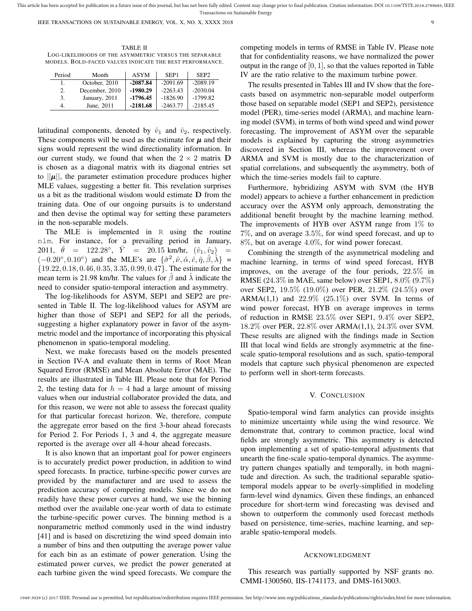TABLE II LOG-LIKELIHOODS OF THE ASYMMETRIC VERSUS THE SEPARABLE MODELS. BOLD-FACED VALUES INDICATE THE BEST PERFORMANCE.

| Period | Month          | <b>ASYM</b> | SEP <sub>1</sub> | SEP <sub>2</sub> |
|--------|----------------|-------------|------------------|------------------|
| 1.     | October, 2010  | $-2087.84$  | $-2091.69$       | $-2089.19$       |
| 2.     | December, 2010 | $-1980.29$  | $-2263.43$       | $-2030.04$       |
| 3.     | January, 2011  | $-1796.45$  | $-1826.90$       | $-1799.82$       |
| 4.     | June, 2011     | $-2181.68$  | $-2463.77$       | $-2185.45$       |

latitudinal components, denoted by  $\hat{v}_1$  and  $\hat{v}_2$ , respectively. These components will be used as the estimate for  $\mu$  and their signs would represent the wind directionality information. In our current study, we found that when the  $2 \times 2$  matrix D is chosen as a diagonal matrix with its diagonal entries set to  $||\mu||$ , the parameter estimation procedure produces higher MLE values, suggesting a better fit. This revelation surprises us a bit as the traditional wisdom would estimate D from the training data. One of our ongoing pursuits is to understand and then devise the optimal way for setting these parameters in the non-separable models.

The MLE is implemented in R using the routine nlm. For instance, for a prevailing period in January, 2011,  $\bar{\theta}$  = 122.28°,  $\bar{Y}$  = 20.15 km/hr,  $(\hat{v}_1, \hat{v}_2)$  =  $(-0.20^\circ, 0.10^\circ)$  and the MLE's are  $\{\hat{\sigma}^2, \hat{\nu}, \hat{\alpha}, \hat{c}, \hat{\eta}, \hat{\beta}, \hat{\lambda}\}$ {19.22, 0.18, 0.46, 0.35, 3.35, 0.99, 0.47}. The estimate for the mean term is 21.98 km/hr. The values for  $\hat{\beta}$  and  $\hat{\lambda}$  indicate the need to consider spatio-temporal interaction and asymmetry.

The log-likelihoods for ASYM, SEP1 and SEP2 are presented in Table II. The log-likelihood values for ASYM are higher than those of SEP1 and SEP2 for all the periods, suggesting a higher explanatory power in favor of the asymmetric model and the importance of incorporating this physical phenomenon in spatio-temporal modeling.

Next, we make forecasts based on the models presented in Section IV-A and evaluate them in terms of Root Mean Squared Error (RMSE) and Mean Absolute Error (MAE). The results are illustrated in Table III. Please note that for Period 2, the testing data for  $h = 4$  had a large amount of missing values when our industrial collaborator provided the data, and for this reason, we were not able to assess the forecast quality for that particular forecast horizon. We, therefore, compute the aggregate error based on the first 3-hour ahead forecasts for Period 2. For Periods 1, 3 and 4, the aggregate measure reported is the average over all 4-hour ahead forecasts.

It is also known that an important goal for power engineers is to accurately predict power production, in addition to wind speed forecasts. In practice, turbine-specific power curves are provided by the manufacturer and are used to assess the prediction accuracy of competing models. Since we do not readily have these power curves at hand, we use the binning method over the available one-year worth of data to estimate the turbine-specific power curves. The binning method is a nonparametric method commonly used in the wind industry [41] and is based on discretizing the wind speed domain into a number of bins and then outputting the average power value for each bin as an estimate of power generation. Using the estimated power curves, we predict the power generated at each turbine given the wind speed forecasts. We compare the

competing models in terms of RMSE in Table IV. Please note that for confidentiality reasons, we have normalized the power output in the range of  $[0, 1]$ , so that the values reported in Table IV are the ratio relative to the maximum turbine power.

The results presented in Tables III and IV show that the forecasts based on asymmetric non-separable model outperform those based on separable model (SEP1 and SEP2), persistence model (PER), time-series model (ARMA), and machine learning model (SVM), in terms of both wind speed and wind power forecasting. The improvement of ASYM over the separable models is explained by capturing the strong asymmetries discovered in Section III, whereas the improvement over ARMA and SVM is mostly due to the characterization of spatial correlations, and subsequently the asymmetry, both of which the time-series models fail to capture.

Furthermore, hybridizing ASYM with SVM (the HYB model) appears to achieve a further enhancement in prediction accuracy over the ASYM only approach, demonstrating the additional benefit brought by the machine learning method. The improvements of HYB over ASYM range from  $1\%$  to 7%, and on average 3.5%, for wind speed forecast, and up to 8%, but on average 4.0%, for wind power forecast.

Combining the strength of the asymmetrical modeling and machine learning, in terms of wind speed forecast, HYB improves, on the average of the four periods, 22.5% in RMSE (24.3% in MAE, same below) over SEP1, 8.0% (9.7%) over SEP2, 19.5% (19.0%) over PER, 21.2% (24.5%) over ARMA(1,1) and  $22.9\%$  (25.1%) over SVM. In terms of wind power forecast, HYB on average improves in terms of reduction in RMSE 23.5% over SEP1, 9.4% over SEP2, 18.2% over PER, 22.8% over ARMA(1,1), 24.3% over SVM. These results are aligned with the findings made in Section III that local wind fields are strongly asymmetric at the finescale spatio-temporal resolutions and as such, spatio-temporal models that capture such physical phenomenon are expected to perform well in short-term forecasts.

#### V. CONCLUSION

Spatio-temporal wind farm analytics can provide insights to minimize uncertainty while using the wind resource. We demonstrate that, contrary to common practice, local wind fields are strongly asymmetric. This asymmetry is detected upon implementing a set of spatio-temporal adjustments that unearth the fine-scale spatio-temporal dynamics. The asymmetry pattern changes spatially and temporally, in both magnitude and direction. As such, the traditional separable spatiotemporal models appear to be overly-simplified in modeling farm-level wind dynamics. Given these findings, an enhanced procedure for short-term wind forecasting was devised and shown to outperform the commonly used forecast methods based on persistence, time-series, machine learning, and separable spatio-temporal models.

#### ACKNOWLEDGMENT

This research was partially supported by NSF grants no. CMMI-1300560, IIS-1741173, and DMS-1613003.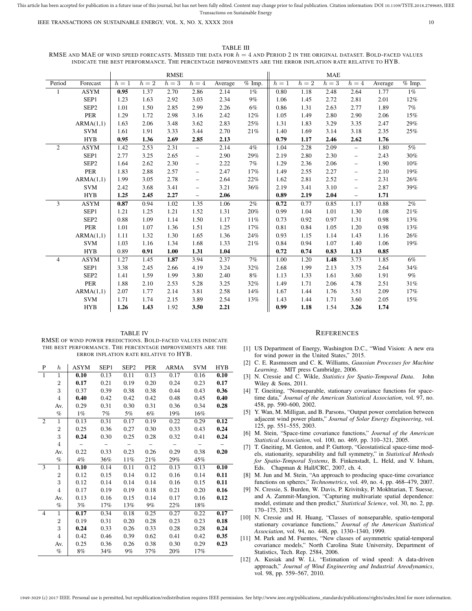#### TABLE III

RMSE AND MAE OF WIND SPEED FORECASTS. MISSED THE DATA FOR  $h = 4$  AND PERIOD 2 IN THE ORIGINAL DATASET. BOLD-FACED VALUES INDICATE THE BEST PERFORMANCE. THE PERCENTAGE IMPROVEMENTS ARE THE ERROR INFLATION RATE RELATIVE TO HYB.

|                |                  |       | <b>RMSE</b> |       |                          |         | <b>MAE</b>           |       |       |       |                          |         |          |
|----------------|------------------|-------|-------------|-------|--------------------------|---------|----------------------|-------|-------|-------|--------------------------|---------|----------|
| Period         | Forecast         | $h=1$ | $h=2$       | $h=3$ | $h=4$                    | Average | $\overline{\%}$ Imp. | $h=1$ | $h=2$ | $h=3$ | $h=4$                    | Average | $%$ Imp. |
|                | <b>ASYM</b>      | 0.95  | 1.37        | 2.70  | 2.86                     | 2.14    | $1\%$                | 0.80  | 1.18  | 2.48  | 2.64                     | 1.77    | $1\%$    |
|                | SEP1             | 1.23  | 1.63        | 2.92  | 3.03                     | 2.34    | 9%                   | 1.06  | 1.45  | 2.72  | 2.81                     | 2.01    | 12%      |
|                | SEP <sub>2</sub> | 1.01  | 1.50        | 2.85  | 2.99                     | 2.26    | 6%                   | 0.86  | 1.31  | 2.63  | 2.77                     | 1.89    | 7%       |
|                | <b>PER</b>       | 1.29  | 1.72        | 2.98  | 3.16                     | 2.42    | 12%                  | 1.05  | 1.49  | 2.80  | 2.90                     | 2.06    | 15%      |
|                | ARMA(1,1)        | 1.63  | 2.06        | 3.48  | 3.62                     | 2.83    | 25%                  | 1.31  | 1.83  | 3.29  | 3.35                     | 2.47    | 29%      |
|                | <b>SVM</b>       | 1.61  | 1.91        | 3.33  | 3.44                     | 2.70    | 21%                  | 1.40  | 1.69  | 3.14  | 3.18                     | 2.35    | 25%      |
|                | <b>HYB</b>       | 0.95  | 1.36        | 2.69  | 2.85                     | 2.13    |                      | 0.79  | 1.17  | 2.46  | 2.62                     | 1.76    |          |
| 2              | <b>ASYM</b>      | 1.42  | 2.53        | 2.31  | $\overline{\phantom{0}}$ | 2.14    | 4%                   | 1.04  | 2.28  | 2.09  | $\overline{\phantom{0}}$ | 1.80    | 5%       |
|                | SEP1             | 2.77  | 3.25        | 2.65  | $\qquad \qquad -$        | 2.90    | 29%                  | 2.19  | 2.80  | 2.30  | $\qquad \qquad -$        | 2.43    | 30%      |
|                | SEP <sub>2</sub> | 1.64  | 2.62        | 2.30  | $\overline{\phantom{m}}$ | 2.22    | 7%                   | 1.29  | 2.36  | 2.06  | $\overline{\phantom{0}}$ | 1.90    | 10%      |
|                | <b>PER</b>       | 1.83  | 2.88        | 2.57  | $\overline{\phantom{0}}$ | 2.47    | 17%                  | 1.49  | 2.55  | 2.27  | $\overline{\phantom{0}}$ | 2.10    | 19%      |
|                | ARMA(1,1)        | 1.99  | 3.05        | 2.78  | -                        | 2.64    | 22%                  | 1.62  | 2.81  | 2.52  | $\overline{\phantom{0}}$ | 2.31    | 26%      |
|                | <b>SVM</b>       | 2.42  | 3.68        | 3.41  | $\qquad \qquad -$        | 3.21    | 36%                  | 2.19  | 3.41  | 3.10  | $\overline{\phantom{0}}$ | 2.87    | 39%      |
|                | <b>HYB</b>       | 1.25  | 2.45        | 2.27  | $\overline{\phantom{0}}$ | 2.06    |                      | 0.89  | 2.19  | 2.04  | $\overline{\phantom{0}}$ | 1.71    |          |
| 3              | <b>ASYM</b>      | 0.87  | 0.94        | 1.02  | 1.35                     | 1.06    | 2%                   | 0.72  | 0.77  | 0.85  | 1.17                     | 0.88    | 2%       |
|                | SEP1             | 1.21  | 1.25        | 1.21  | 1.52                     | 1.31    | 20%                  | 0.99  | 1.04  | 1.01  | 1.30                     | 1.08    | 21%      |
|                | SEP <sub>2</sub> | 0.88  | 1.09        | 1.14  | 1.50                     | 1.17    | 11%                  | 0.73  | 0.92  | 0.97  | 1.31                     | 0.98    | 13%      |
|                | <b>PER</b>       | 1.01  | 1.07        | 1.36  | 1.51                     | 1.25    | 17%                  | 0.81  | 0.84  | 1.05  | 1.20                     | 0.98    | 13%      |
|                | ARMA(1,1)        | 1.11  | 1.32        | 1.30  | 1.65                     | 1.36    | 24%                  | 0.93  | 1.15  | 1.14  | 1.43                     | 1.16    | 26%      |
|                | <b>SVM</b>       | 1.03  | 1.16        | 1.34  | 1.68                     | 1.33    | 21%                  | 0.84  | 0.94  | 1.07  | 1.40                     | 1.06    | 19%      |
|                | <b>HYB</b>       | 0.89  | 0.91        | 1.00  | 1.31                     | 1.04    |                      | 0.72  | 0.74  | 0.83  | 1.13                     | 0.85    |          |
| $\overline{4}$ | <b>ASYM</b>      | 1.27  | 1.45        | 1.87  | 3.94                     | 2.37    | 7%                   | 1.00  | 1.20  | 1.48  | 3.73                     | 1.85    | 6%       |
|                | SEP <sub>1</sub> | 3.38  | 2.45        | 2.66  | 4.19                     | 3.24    | 32%                  | 2.68  | 1.99  | 2.13  | 3.75                     | 2.64    | 34%      |
|                | SEP <sub>2</sub> | 1.41  | 1.59        | 1.99  | 3.80                     | 2.40    | 8%                   | 1.13  | 1.33  | 1.61  | 3.60                     | 1.91    | 9%       |
|                | PER              | 1.88  | 2.10        | 2.53  | 5.28                     | 3.25    | 32%                  | 1.49  | 1.71  | 2.06  | 4.78                     | 2.51    | 31%      |
|                | ARMA(1,1)        | 2.07  | 1.77        | 2.14  | 3.81                     | 2.58    | 14%                  | 1.67  | 1.44  | 1.76  | 3.51                     | 2.09    | 17%      |
|                | <b>SVM</b>       | 1.71  | 1.74        | 2.15  | 3.89                     | 2.54    | 13%                  | 1.43  | 1.44  | 1.71  | 3.60                     | 2.05    | 15%      |
|                | <b>HYB</b>       | 1.26  | 1.43        | 1.92  | 3.50                     | 2.21    |                      | 0.99  | 1.18  | 1.54  | 3.26                     | 1.74    |          |

TABLE IV RMSE OF WIND POWER PREDICTIONS. BOLD-FACED VALUES INDICATE THE BEST PERFORMANCE. THE PERCENTAGE IMPROVEMENTS ARE THE ERROR INFLATION RATE RELATIVE TO HYB.

| P              | $\boldsymbol{h}$ | ASYM  | SEP <sub>1</sub>         | SEP <sub>2</sub> | PER    | <b>ARMA</b> | <b>SVM</b> | <b>HYB</b> |
|----------------|------------------|-------|--------------------------|------------------|--------|-------------|------------|------------|
| $\mathbf{1}$   | 1                | 0.10  | 0.13                     | 0.11             | 0.13   | 0.17        | 0.16       | 0.10       |
|                | $\overline{2}$   | 0.17  | 0.21                     | 0.19             | 0.20   | 0.24        | 0.23       | 0.17       |
|                | 3                | 0.37  | 0.39                     | 0.38             | 0.38   | 0.44        | 0.43       | 0.36       |
|                | $\overline{4}$   | 0.40  | 0.42                     | 0.42             | 0.42   | 0.48        | 0.45       | 0.40       |
|                | Av.              | 0.29  | 0.31                     | 0.30             | 0.31   | 0.36        | 0.34       | 0.28       |
|                | $\%$             | $1\%$ | 7%                       | 5%               | 6%     | 19%         | 16%        |            |
| $\overline{c}$ | $\mathbf{1}$     | 0.13  | 0.31                     | 0.17             | 0.19   | 0.22        | 0.29       | 0.12       |
|                | $\overline{2}$   | 0.25  | 0.36                     | 0.27             | 0.30   | 0.33        | 0.43       | 0.24       |
|                | 3                | 0.24  | 0.30                     | 0.25             | 0.28   | 0.32        | 0.41       | 0.24       |
|                | $\overline{4}$   |       | $\overline{\phantom{a}}$ | $\overline{a}$   | $\sim$ |             |            |            |
|                | Av.              | 0.22  | 0.33                     | 0.23             | 0.26   | 0.29        | 0.38       | 0.20       |
|                | $\%$             | $4\%$ | 36%                      | 11%              | 21%    | 29%         | 45%        |            |
| 3              | $\mathbf{1}$     | 0.10  | 0.14                     | 0.11             | 0.12   | 0.13        | 0.13       | 0.10       |
|                | $\overline{2}$   | 0.12  | 0.15                     | 0.14             | 0.12   | 0.16        | 0.14       | 0.11       |
|                | 3                | 0.12  | 0.14                     | 0.14             | 0.14   | 0.16        | 0.15       | 0.11       |
|                | $\overline{4}$   | 0.17  | 0.19                     | 0.19             | 0.18   | 0.21        | 0.20       | 0.16       |
|                | Av.              | 0.13  | 0.16                     | 0.15             | 0.14   | 0.17        | 0.16       | 0.12       |
|                | $\%$             | 3%    | 17%                      | 13%              | 9%     | 22%         | 18%        |            |
| $\overline{4}$ | $\mathbf{1}$     | 0.17  | 0.34                     | 0.18             | 0.25   | 0.27        | 0.22       | 0.17       |
|                | $\overline{2}$   | 0.19  | 0.31                     | 0.20             | 0.28   | 0.23        | 0.23       | 0.18       |
|                | 3                | 0.24  | 0.33                     | 0.26             | 0.33   | 0.28        | 0.28       | 0.24       |
|                | $\overline{4}$   | 0.42  | 0.46                     | 0.39             | 0.62   | 0.41        | 0.42       | 0.35       |
|                | Av.              | 0.25  | 0.36                     | 0.26             | 0.38   | 0.30        | 0.29       | 0.23       |
|                | $\%$             | 8%    | 34%                      | $9\%$            | $37\%$ | 20%         | 17%        |            |

## **REFERENCES**

- [1] US Department of Energy, Washington D.C., "Wind Vision: A new era for wind power in the United States," 2015.
- [2] C. E. Rasmussen and C. K. Williams, *Gaussian Processes for Machine Learning*. MIT press Cambridge, 2006.
- [3] N. Cressie and C. Wikle, *Statistics for Spatio-Temporal Data*. John Wiley & Sons, 2011.
- [4] T. Gneiting, "Nonseparable, stationary covariance functions for spacetime data," *Journal of the American Statistical Association*, vol. 97, no. 458, pp. 590–600, 2002.
- [5] Y. Wan, M. Milligan, and B. Parsons, "Output power correlation between adjacent wind power plants," *Journal of Solar Energy Engineering*, vol. 125, pp. 551–555, 2003.
- [6] M. Stein, "Space-time covariance functions," *Journal of the American Statistical Association*, vol. 100, no. 469, pp. 310–321, 2005.
- [7] T. Gneiting, M. Genton, and P. Guttorp, "Geostatistical space-time models, stationarity, separability and full symmetry," in *Statistical Methods for Spatio-Temporal Systems*, B. Finkenstadt, L. Held, and V. Isham, Eds. Chapman & Hall/CRC, 2007, ch. 4.
- [8] M. Jun and M. Stein, "An approach to producing space-time covariance functions on spheres," *Technometrics*, vol. 49, no. 4, pp. 468–479, 2007.
- [9] N. Cressie, S. Burden, W. Davis, P. Krivitsky, P. Mokhtarian, T. Suesse, and A. Zammit-Mangion, "Capturing multivariate spatial dependence: model, estimate and then predict," *Statistical Science*, vol. 30, no. 2, pp. 170–175, 2015.
- [10] N. Cressie and H. Huang, "Classes of nonseparable, spatio-temporal stationary covariance functions," *Journal of the American Statistical Association*, vol. 94, no. 448, pp. 1330–1340, 1999.
- [11] M. Park and M. Fuentes, "New classes of asymmetric spatial-temporal covariance models," North Carolina State University, Department of Statistics, Tech. Rep. 2584, 2006.
- [12] A. Kusiak and W. Li, "Estimation of wind speed: A data-driven approach," *Journal of Wind Engineering and Industrial Areodynamics*, vol. 98, pp. 559–567, 2010.